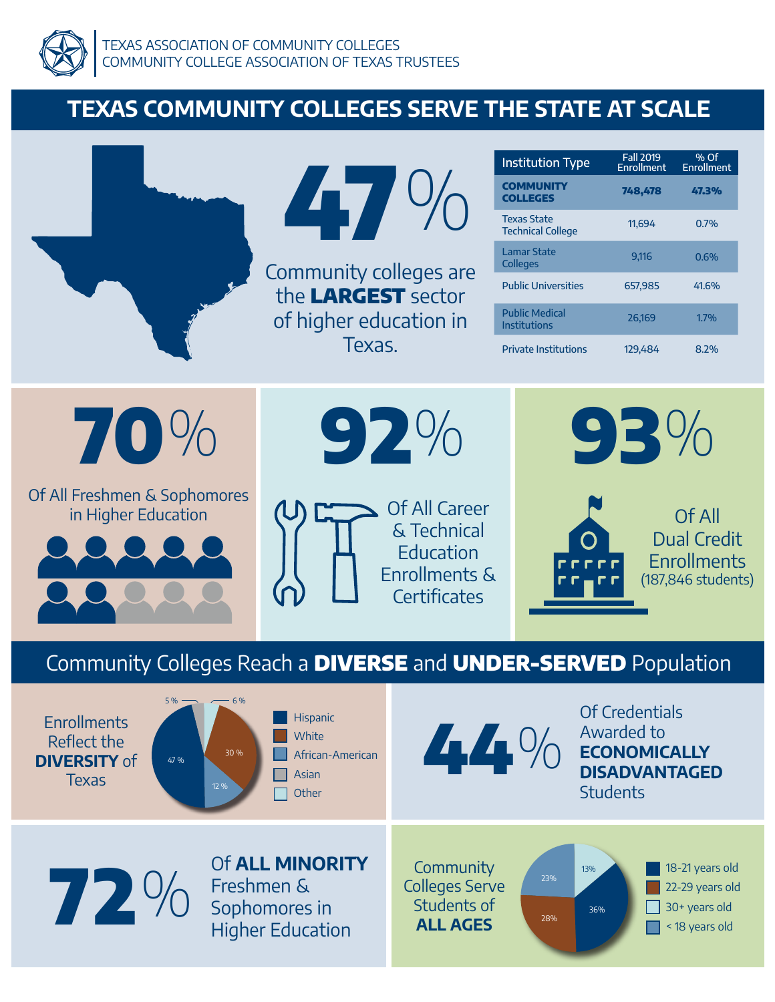

# **TEXAS COMMUNITY COLLEGES SERVE THE STATE AT SCALE**

|                                                                                                                 | $\mathbf{A}$<br>Community colleges are<br>the LARGEST sector<br>of higher education in<br>Texas.                                                  | <b>Institution Type</b><br><b>COMMUNITY</b><br><b>COLLEGES</b><br><b>Texas State</b><br><b>Technical College</b><br><b>Lamar State</b><br><b>Colleges</b><br><b>Public Universities</b><br><b>Public Medical</b><br><b>Institutions</b><br><b>Private Institutions</b> | <b>Fall 2019</b><br><b>Enrollment</b><br>748,478<br>11,694<br>9,116<br>657,985<br>26,169<br>129,484   | % Of<br><b>Enrollment</b><br>47.3%<br>0.7%<br>0.6%<br>41.6%<br>1.7%<br>8.2%     |  |  |  |
|-----------------------------------------------------------------------------------------------------------------|---------------------------------------------------------------------------------------------------------------------------------------------------|------------------------------------------------------------------------------------------------------------------------------------------------------------------------------------------------------------------------------------------------------------------------|-------------------------------------------------------------------------------------------------------|---------------------------------------------------------------------------------|--|--|--|
| 70%<br>Of All Freshmen & Sophomores<br>in Higher Education                                                      | $92\%$<br><b>Of All Career</b><br>& Technical<br><b>Education</b><br>Enrollments &<br><b>Certificates</b>                                         |                                                                                                                                                                                                                                                                        | 93%                                                                                                   | <b>Of All</b><br><b>Dual Credit</b><br><b>Enrollments</b><br>(187,846 students) |  |  |  |
| Community Colleges Reach a DIVERSE and UNDER-SERVED Population                                                  |                                                                                                                                                   |                                                                                                                                                                                                                                                                        |                                                                                                       |                                                                                 |  |  |  |
| $-6%$<br>5%<br><b>Enrollments</b><br>Reflect the<br>30 %<br><b>DIVERSITY of</b><br>47 %<br><b>Texas</b><br>12 % | Hispanic<br>White<br>African-American<br>Asian<br>Other                                                                                           | 44%                                                                                                                                                                                                                                                                    | <b>Of Credentials</b><br>Awarded to<br><b>ECONOMICALLY</b><br><b>DISADVANTAGED</b><br><b>Students</b> |                                                                                 |  |  |  |
| 72%                                                                                                             | Of ALL MINORITY<br>Community<br>Freshmen &<br><b>Colleges Serve</b><br>Students of<br>Sophomores in<br><b>ALL AGES</b><br><b>Higher Education</b> | 23%<br>28%                                                                                                                                                                                                                                                             | 13%<br>36%                                                                                            | 18-21 years old<br>22-29 years old<br>30+ years old<br>< 18 years old           |  |  |  |